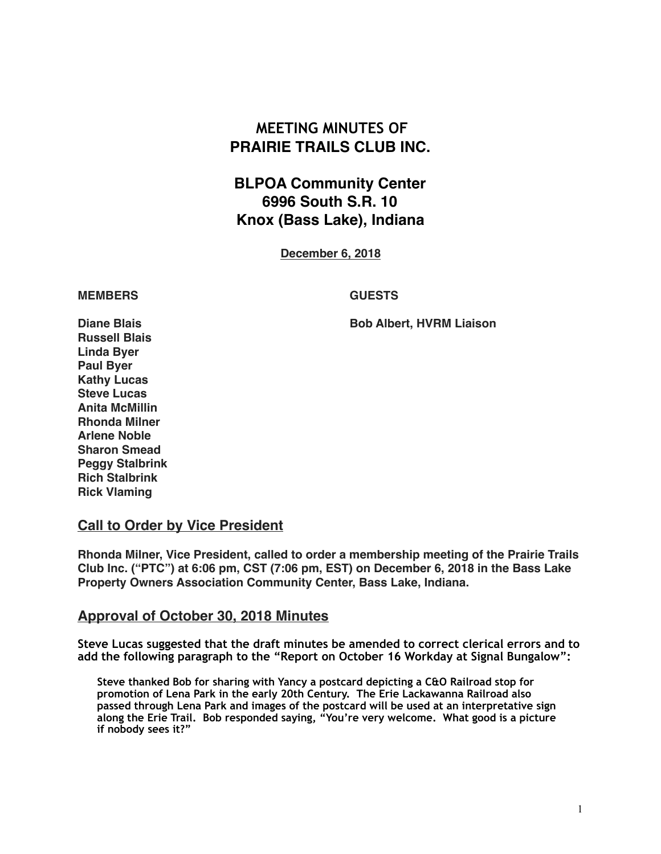# **MEETING MINUTES OF PRAIRIE TRAILS CLUB INC.**

# **BLPOA Community Center 6996 South S.R. 10 Knox (Bass Lake), Indiana**

**December 6, 2018**

#### **MEMBERS GUESTS**

**Diane Blais Bob Albert, HVRM Liaison**

**Russell Blais Linda Byer Paul Byer Kathy Lucas Steve Lucas Anita McMillin Rhonda Milner Arlene Noble Sharon Smead Peggy Stalbrink Rich Stalbrink Rick Vlaming**

#### **Call to Order by Vice President**

**Rhonda Milner, Vice President, called to order a membership meeting of the Prairie Trails Club Inc. ("PTC") at 6:06 pm, CST (7:06 pm, EST) on December 6, 2018 in the Bass Lake Property Owners Association Community Center, Bass Lake, Indiana.**

#### **Approval of October 30, 2018 Minutes**

**Steve Lucas suggested that the draft minutes be amended to correct clerical errors and to add the following paragraph to the "Report on October 16 Workday at Signal Bungalow":** 

 **Steve thanked Bob for sharing with Yancy a postcard depicting a C&O Railroad stop for promotion of Lena Park in the early 20th Century. The Erie Lackawanna Railroad also passed through Lena Park and images of the postcard will be used at an interpretative sign along the Erie Trail. Bob responded saying, "You're very welcome. What good is a picture if nobody sees it?"**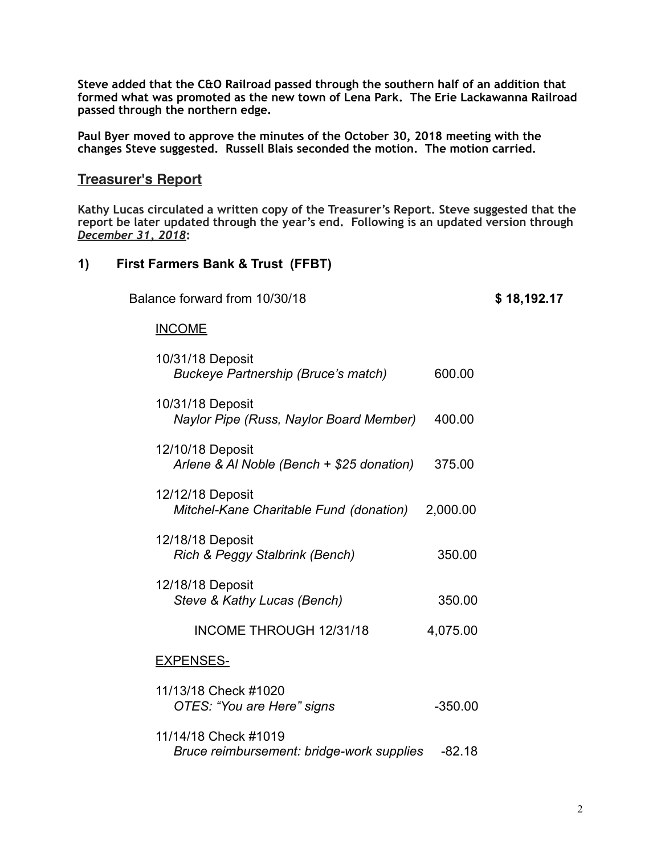**Steve added that the C&O Railroad passed through the southern half of an addition that formed what was promoted as the new town of Lena Park. The Erie Lackawanna Railroad passed through the northern edge.** 

**Paul Byer moved to approve the minutes of the October 30, 2018 meeting with the changes Steve suggested. Russell Blais seconded the motion. The motion carried.** 

## **Treasurer's Report**

**Kathy Lucas circulated a written copy of the Treasurer's Report. Steve suggested that the report be later updated through the year's end. Following is an updated version through**  *December 31, 2018***:**

### **1) First Farmers Bank & Trust (FFBT)**

Balance forward from 10/30/18 **\$ 18,192.17**

#### INCOME

| 10/31/18 Deposit<br><b>Buckeye Partnership (Bruce's match)</b>    | 600.00    |
|-------------------------------------------------------------------|-----------|
| 10/31/18 Deposit<br>Naylor Pipe (Russ, Naylor Board Member)       | 400.00    |
| 12/10/18 Deposit<br>Arlene & Al Noble (Bench + \$25 donation)     | 375.00    |
| 12/12/18 Deposit<br>Mitchel-Kane Charitable Fund (donation)       | 2,000.00  |
| 12/18/18 Deposit<br>Rich & Peggy Stalbrink (Bench)                | 350.00    |
| 12/18/18 Deposit<br>Steve & Kathy Lucas (Bench)                   | 350.00    |
| INCOME THROUGH 12/31/18                                           | 4,075.00  |
| <b>EXPENSES-</b>                                                  |           |
| 11/13/18 Check #1020<br>OTES: "You are Here" signs                | $-350.00$ |
| 11/14/18 Check #1019<br>Bruce reimbursement: bridge-work supplies | $-82.18$  |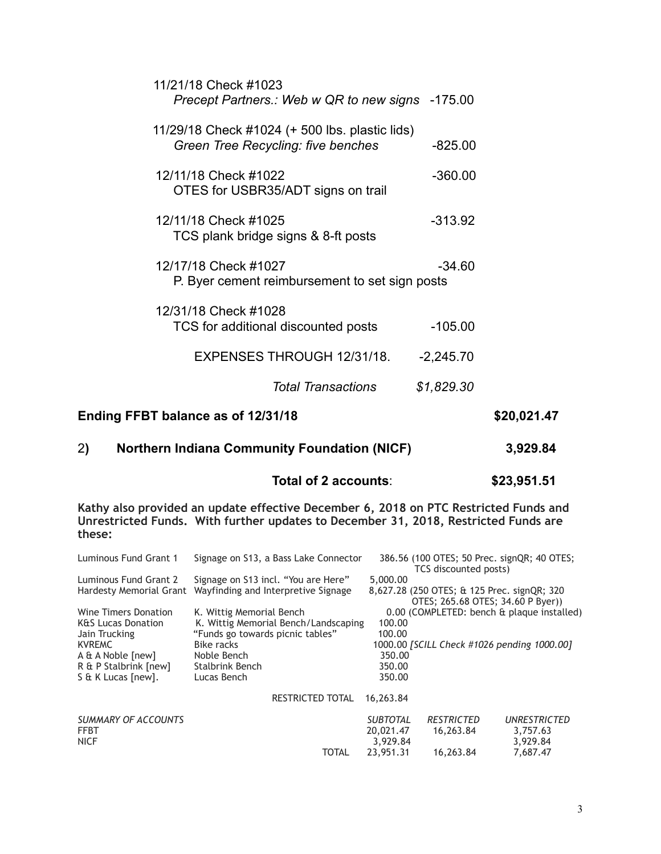| Ending FFBT balance as of 12/31/18                                                   |             | \$20,021.47 |
|--------------------------------------------------------------------------------------|-------------|-------------|
| Total Transactions                                                                   | \$1,829.30  |             |
| EXPENSES THROUGH 12/31/18.                                                           | $-2,245.70$ |             |
| 12/31/18 Check #1028<br>TCS for additional discounted posts                          | $-105.00$   |             |
| 12/17/18 Check #1027<br>P. Byer cement reimbursement to set sign posts               | $-34.60$    |             |
| 12/11/18 Check #1025<br>TCS plank bridge signs & 8-ft posts                          | $-313.92$   |             |
| 12/11/18 Check #1022<br>OTES for USBR35/ADT signs on trail                           | $-360.00$   |             |
| 11/29/18 Check #1024 (+ 500 lbs. plastic lids)<br>Green Tree Recycling: five benches | $-825.00$   |             |
| 11/21/18 Check #1023<br>Precept Partners.: Web w QR to new signs -175.00             |             |             |

# 2**) Northern Indiana Community Foundation (NICF) 3,929.84**

**Total of 2 accounts**: **\$23,951.51**

**Kathy also provided an update effective December 6, 2018 on PTC Restricted Funds and Unrestricted Funds. With further updates to December 31, 2018, Restricted Funds are these:** 

| Luminous Fund Grant 1         | Signage on S13, a Bass Lake Connector |                 | 386.56 (100 OTES; 50 Prec. signQR; 40 OTES;<br>TCS discounted posts) |                                            |
|-------------------------------|---------------------------------------|-----------------|----------------------------------------------------------------------|--------------------------------------------|
| Luminous Fund Grant 2         | Signage on S13 incl. "You are Here"   | 5,000.00        |                                                                      |                                            |
| Hardesty Memorial Grant       | Wayfinding and Interpretive Signage   |                 | 8,627.28 (250 OTES; & 125 Prec. signQR; 320                          |                                            |
|                               |                                       |                 | OTES; 265.68 OTES; 34.60 P Byer))                                    |                                            |
| Wine Timers Donation          | K. Wittig Memorial Bench              |                 |                                                                      | 0.00 (COMPLETED: bench & plaque installed) |
| <b>K&amp;S Lucas Donation</b> | K. Wittig Memorial Bench/Landscaping  | 100.00          |                                                                      |                                            |
| Jain Trucking                 | "Funds go towards picnic tables"      | 100.00          |                                                                      |                                            |
| <b>KVREMC</b>                 | Bike racks                            |                 | 1000.00 [SCILL Check #1026 pending 1000.00]                          |                                            |
| A & A Noble [new]             | Noble Bench                           | 350.00          |                                                                      |                                            |
| R & P Stalbrink [new]         | <b>Stalbrink Bench</b>                | 350.00          |                                                                      |                                            |
| S & K Lucas [new].            | Lucas Bench                           | 350.00          |                                                                      |                                            |
|                               |                                       |                 |                                                                      |                                            |
|                               | <b>RESTRICTED TOTAL</b>               | 16,263.84       |                                                                      |                                            |
|                               |                                       |                 |                                                                      |                                            |
| <b>SUMMARY OF ACCOUNTS</b>    |                                       | <b>SUBTOTAL</b> | <b>RESTRICTED</b>                                                    | <b>UNRESTRICTED</b>                        |
| <b>FFBT</b>                   |                                       | 20,021.47       | 16,263.84                                                            | 3,757.63                                   |
| <b>NICF</b>                   |                                       | 3,929.84        |                                                                      | 3,929.84                                   |
|                               | TOTAL                                 | 23,951.31       | 16.263.84                                                            | 7.687.47                                   |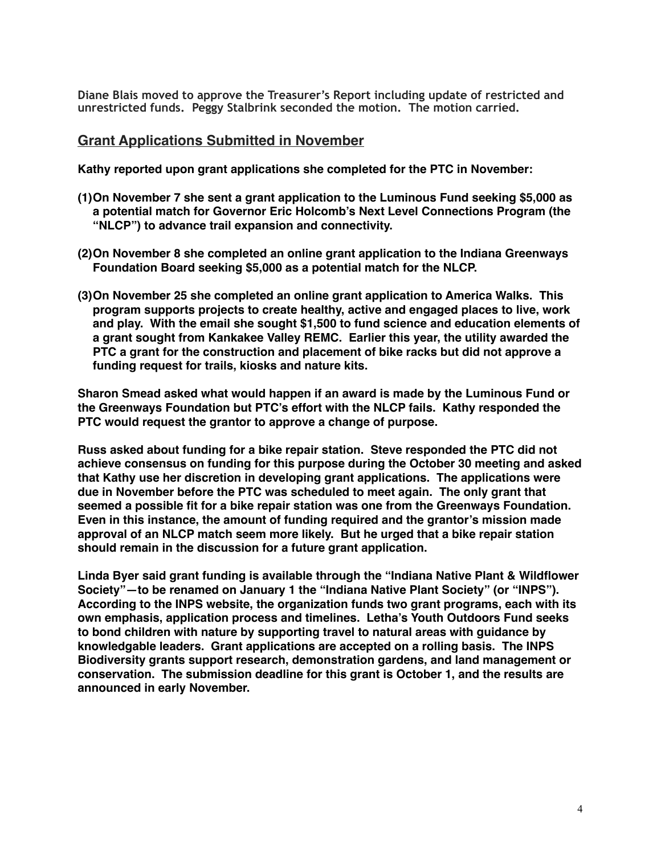**Diane Blais moved to approve the Treasurer's Report including update of restricted and unrestricted funds. Peggy Stalbrink seconded the motion. The motion carried.** 

#### **Grant Applications Submitted in November**

**Kathy reported upon grant applications she completed for the PTC in November:**

- **(1)On November 7 she sent a grant application to the Luminous Fund seeking \$5,000 as a potential match for Governor Eric Holcomb's Next Level Connections Program (the "NLCP") to advance trail expansion and connectivity.**
- **(2)On November 8 she completed an online grant application to the Indiana Greenways Foundation Board seeking \$5,000 as a potential match for the NLCP.**
- **(3)On November 25 she completed an online grant application to America Walks. This program supports projects to create healthy, active and engaged places to live, work and play. With the email she sought \$1,500 to fund science and education elements of a grant sought from Kankakee Valley REMC. Earlier this year, the utility awarded the PTC a grant for the construction and placement of bike racks but did not approve a funding request for trails, kiosks and nature kits.**

**Sharon Smead asked what would happen if an award is made by the Luminous Fund or the Greenways Foundation but PTC's effort with the NLCP fails. Kathy responded the PTC would request the grantor to approve a change of purpose.**

**Russ asked about funding for a bike repair station. Steve responded the PTC did not achieve consensus on funding for this purpose during the October 30 meeting and asked that Kathy use her discretion in developing grant applications. The applications were due in November before the PTC was scheduled to meet again. The only grant that seemed a possible fit for a bike repair station was one from the Greenways Foundation. Even in this instance, the amount of funding required and the grantor's mission made approval of an NLCP match seem more likely. But he urged that a bike repair station should remain in the discussion for a future grant application.**

**Linda Byer said grant funding is available through the "Indiana Native Plant & Wildflower Society"—to be renamed on January 1 the "Indiana Native Plant Society" (or "INPS"). According to the INPS website, the organization funds two grant programs, each with its own emphasis, application process and timelines. Letha's Youth Outdoors Fund seeks to bond children with nature by supporting travel to natural areas with guidance by knowledgable leaders. Grant applications are accepted on a rolling basis. The INPS Biodiversity grants support research, demonstration gardens, and land management or conservation. The submission deadline for this grant is October 1, and the results are announced in early November.**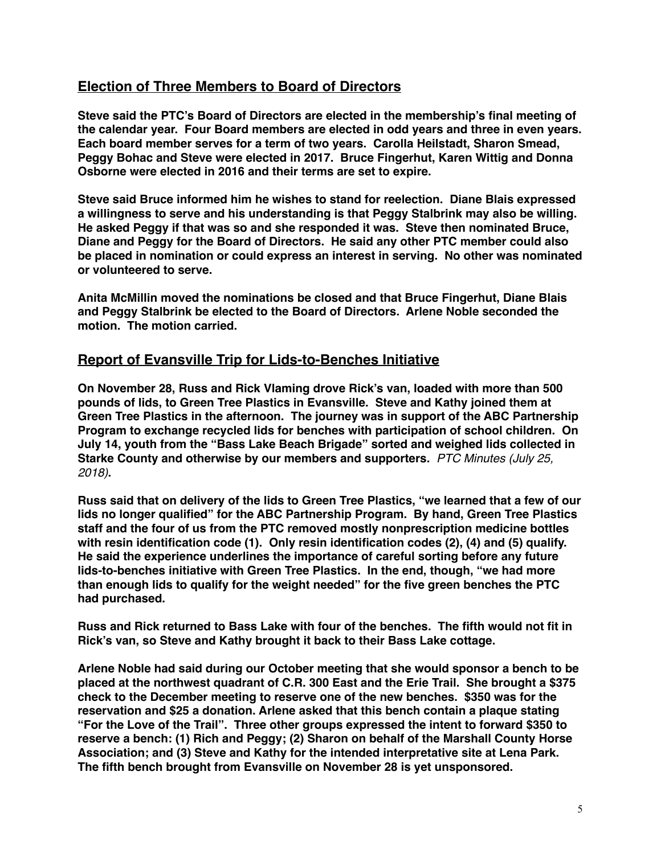# **Election of Three Members to Board of Directors**

**Steve said the PTC's Board of Directors are elected in the membership's final meeting of the calendar year. Four Board members are elected in odd years and three in even years. Each board member serves for a term of two years. Carolla Heilstadt, Sharon Smead, Peggy Bohac and Steve were elected in 2017. Bruce Fingerhut, Karen Wittig and Donna Osborne were elected in 2016 and their terms are set to expire.** 

**Steve said Bruce informed him he wishes to stand for reelection. Diane Blais expressed a willingness to serve and his understanding is that Peggy Stalbrink may also be willing. He asked Peggy if that was so and she responded it was. Steve then nominated Bruce, Diane and Peggy for the Board of Directors. He said any other PTC member could also be placed in nomination or could express an interest in serving. No other was nominated or volunteered to serve.**

**Anita McMillin moved the nominations be closed and that Bruce Fingerhut, Diane Blais and Peggy Stalbrink be elected to the Board of Directors. Arlene Noble seconded the motion. The motion carried.**

## **Report of Evansville Trip for Lids-to-Benches Initiative**

**On November 28, Russ and Rick Vlaming drove Rick's van, loaded with more than 500 pounds of lids, to Green Tree Plastics in Evansville. Steve and Kathy joined them at Green Tree Plastics in the afternoon. The journey was in support of the ABC Partnership Program to exchange recycled lids for benches with participation of school children. On July 14, youth from the "Bass Lake Beach Brigade" sorted and weighed lids collected in Starke County and otherwise by our members and supporters.** *PTC Minutes (July 25, 2018)***.**

**Russ said that on delivery of the lids to Green Tree Plastics, "we learned that a few of our lids no longer qualified" for the ABC Partnership Program. By hand, Green Tree Plastics staff and the four of us from the PTC removed mostly nonprescription medicine bottles with resin identification code (1). Only resin identification codes (2), (4) and (5) qualify. He said the experience underlines the importance of careful sorting before any future lids-to-benches initiative with Green Tree Plastics. In the end, though, "we had more than enough lids to qualify for the weight needed" for the five green benches the PTC had purchased.**

**Russ and Rick returned to Bass Lake with four of the benches. The fifth would not fit in Rick's van, so Steve and Kathy brought it back to their Bass Lake cottage.** 

**Arlene Noble had said during our October meeting that she would sponsor a bench to be placed at the northwest quadrant of C.R. 300 East and the Erie Trail. She brought a \$375 check to the December meeting to reserve one of the new benches. \$350 was for the reservation and \$25 a donation. Arlene asked that this bench contain a plaque stating "For the Love of the Trail". Three other groups expressed the intent to forward \$350 to reserve a bench: (1) Rich and Peggy; (2) Sharon on behalf of the Marshall County Horse Association; and (3) Steve and Kathy for the intended interpretative site at Lena Park. The fifth bench brought from Evansville on November 28 is yet unsponsored.**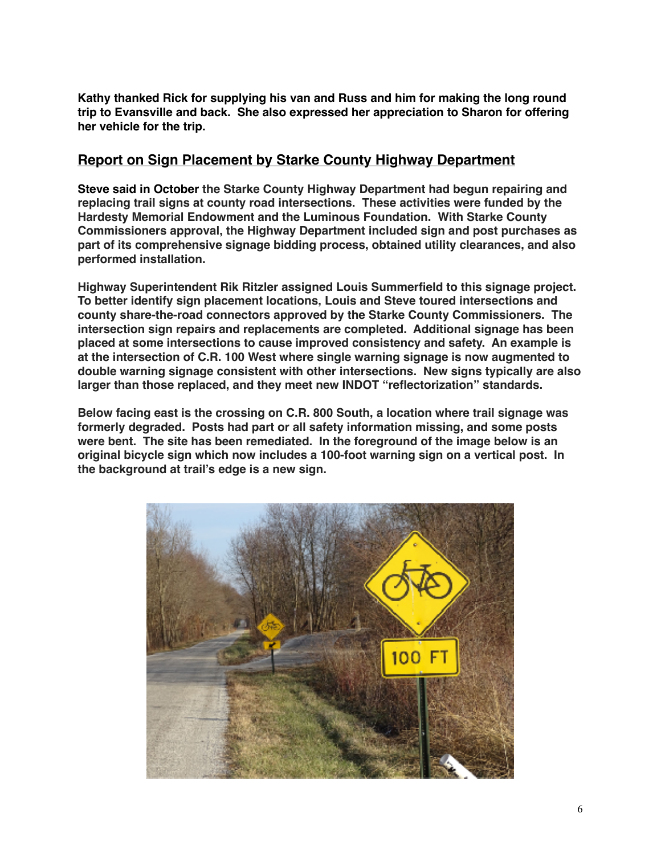**Kathy thanked Rick for supplying his van and Russ and him for making the long round trip to Evansville and back. She also expressed her appreciation to Sharon for offering her vehicle for the trip.**

# **Report on Sign Placement by Starke County Highway Department**

**Steve said in October the Starke County Highway Department had begun repairing and replacing trail signs at county road intersections. These activities were funded by the Hardesty Memorial Endowment and the Luminous Foundation. With Starke County Commissioners approval, the Highway Department included sign and post purchases as part of its comprehensive signage bidding process, obtained utility clearances, and also performed installation.**

**Highway Superintendent Rik Ritzler assigned Louis Summerfield to this signage project. To better identify sign placement locations, Louis and Steve toured intersections and county share-the-road connectors approved by the Starke County Commissioners. The intersection sign repairs and replacements are completed. Additional signage has been placed at some intersections to cause improved consistency and safety. An example is at the intersection of C.R. 100 West where single warning signage is now augmented to double warning signage consistent with other intersections. New signs typically are also larger than those replaced, and they meet new INDOT "reflectorization" standards.** 

**Below facing east is the crossing on C.R. 800 South, a location where trail signage was formerly degraded. Posts had part or all safety information missing, and some posts were bent. The site has been remediated. In the foreground of the image below is an original bicycle sign which now includes a 100-foot warning sign on a vertical post. In the background at trail's edge is a new sign.**

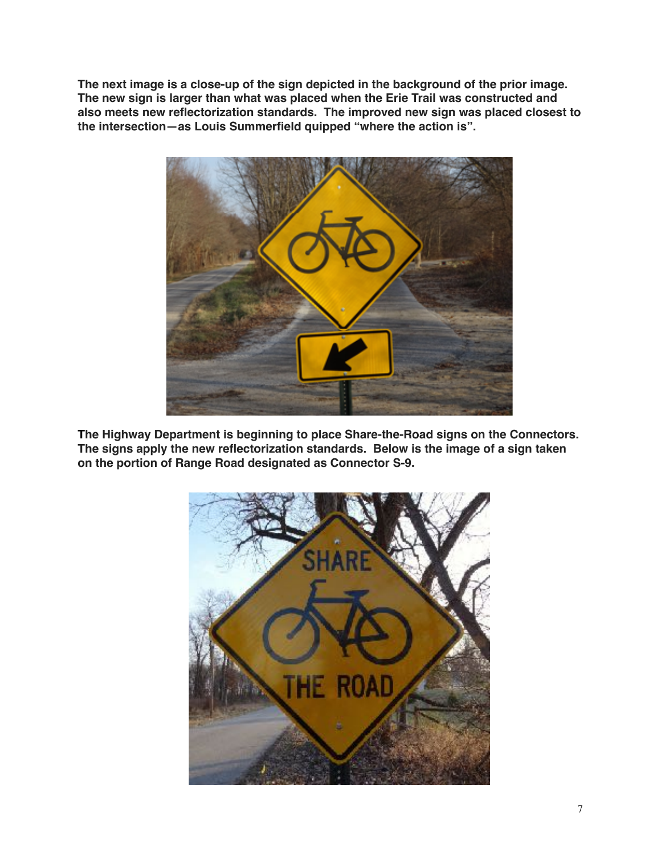**The next image is a close-up of the sign depicted in the background of the prior image. The new sign is larger than what was placed when the Erie Trail was constructed and also meets new reflectorization standards. The improved new sign was placed closest to the intersection—as Louis Summerfield quipped "where the action is".**



**The Highway Department is beginning to place Share-the-Road signs on the Connectors. The signs apply the new reflectorization standards. Below is the image of a sign taken on the portion of Range Road designated as Connector S-9.**

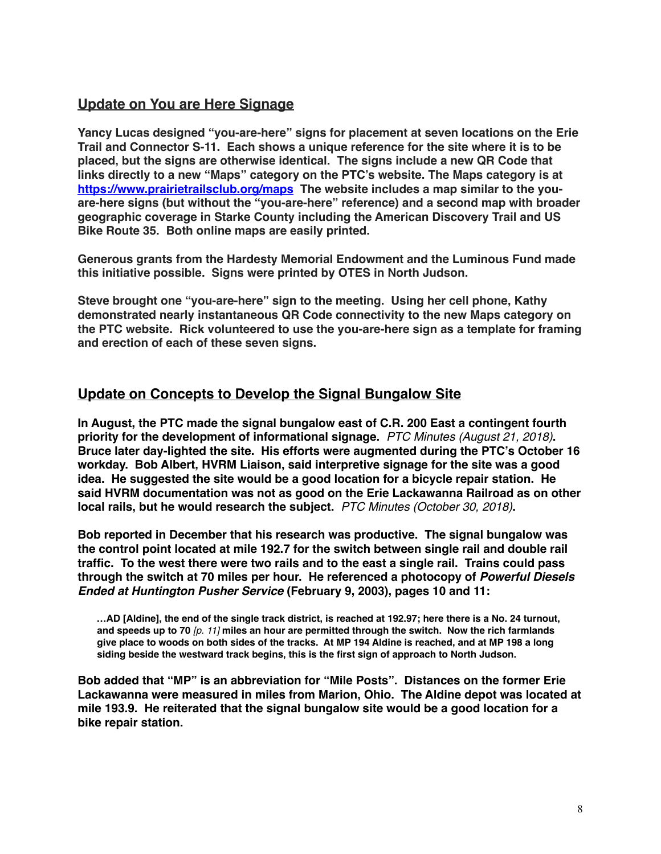# **Update on You are Here Signage**

**Yancy Lucas designed "you-are-here" signs for placement at seven locations on the Erie Trail and Connector S-11. Each shows a unique reference for the site where it is to be placed, but the signs are otherwise identical. The signs include a new QR Code that links directly to a new "Maps" category on the PTC's website. The Maps category is at <https://www.prairietrailsclub.org/maps> The website includes a map similar to the youare-here signs (but without the "you-are-here" reference) and a second map with broader geographic coverage in Starke County including the American Discovery Trail and US Bike Route 35. Both online maps are easily printed.** 

**Generous grants from the Hardesty Memorial Endowment and the Luminous Fund made this initiative possible. Signs were printed by OTES in North Judson.**

**Steve brought one "you-are-here" sign to the meeting. Using her cell phone, Kathy demonstrated nearly instantaneous QR Code connectivity to the new Maps category on the PTC website. Rick volunteered to use the you-are-here sign as a template for framing and erection of each of these seven signs.**

## **Update on Concepts to Develop the Signal Bungalow Site**

**In August, the PTC made the signal bungalow east of C.R. 200 East a contingent fourth priority for the development of informational signage.** *PTC Minutes (August 21, 2018)***. Bruce later day-lighted the site. His efforts were augmented during the PTC's October 16 workday. Bob Albert, HVRM Liaison, said interpretive signage for the site was a good idea. He suggested the site would be a good location for a bicycle repair station. He said HVRM documentation was not as good on the Erie Lackawanna Railroad as on other local rails, but he would research the subject.** *PTC Minutes (October 30, 2018)***.**

**Bob reported in December that his research was productive. The signal bungalow was the control point located at mile 192.7 for the switch between single rail and double rail traffic. To the west there were two rails and to the east a single rail. Trains could pass through the switch at 70 miles per hour. He referenced a photocopy of** *Powerful Diesels Ended at Huntington Pusher Service* **(February 9, 2003), pages 10 and 11:**

 **…AD [Aldine], the end of the single track district, is reached at 192.97; here there is a No. 24 turnout, and speeds up to 70** *[p. 11]* **miles an hour are permitted through the switch. Now the rich farmlands give place to woods on both sides of the tracks. At MP 194 Aldine is reached, and at MP 198 a long siding beside the westward track begins, this is the first sign of approach to North Judson.**

**Bob added that "MP" is an abbreviation for "Mile Posts". Distances on the former Erie Lackawanna were measured in miles from Marion, Ohio. The Aldine depot was located at mile 193.9. He reiterated that the signal bungalow site would be a good location for a bike repair station.**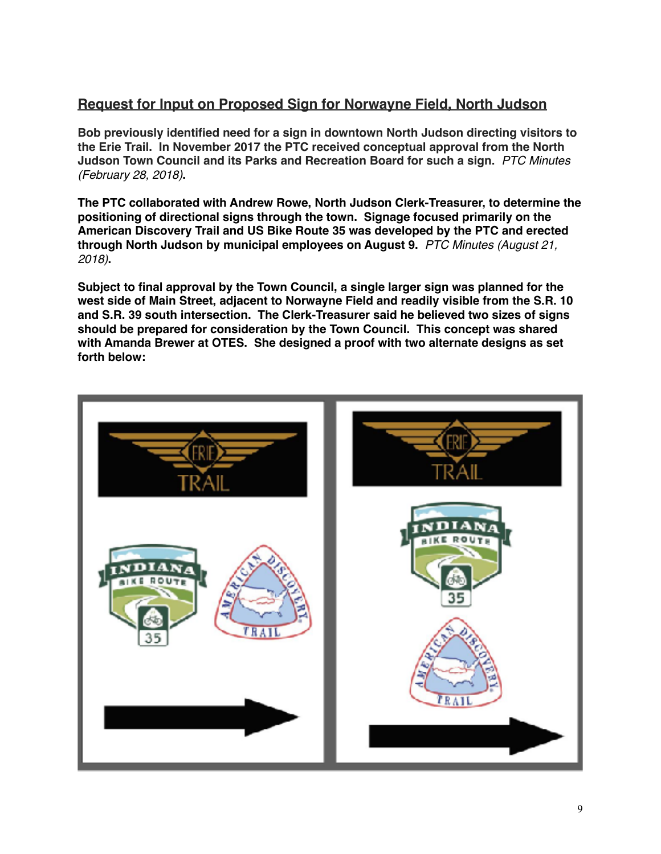# **Request for Input on Proposed Sign for Norwayne Field, North Judson**

**Bob previously identified need for a sign in downtown North Judson directing visitors to the Erie Trail. In November 2017 the PTC received conceptual approval from the North Judson Town Council and its Parks and Recreation Board for such a sign.** *PTC Minutes (February 28, 2018)***.** 

**The PTC collaborated with Andrew Rowe, North Judson Clerk-Treasurer, to determine the positioning of directional signs through the town. Signage focused primarily on the American Discovery Trail and US Bike Route 35 was developed by the PTC and erected through North Judson by municipal employees on August 9.** *PTC Minutes (August 21, 2018)***.** 

**Subject to final approval by the Town Council, a single larger sign was planned for the west side of Main Street, adjacent to Norwayne Field and readily visible from the S.R. 10 and S.R. 39 south intersection. The Clerk-Treasurer said he believed two sizes of signs should be prepared for consideration by the Town Council. This concept was shared with Amanda Brewer at OTES. She designed a proof with two alternate designs as set forth below:**